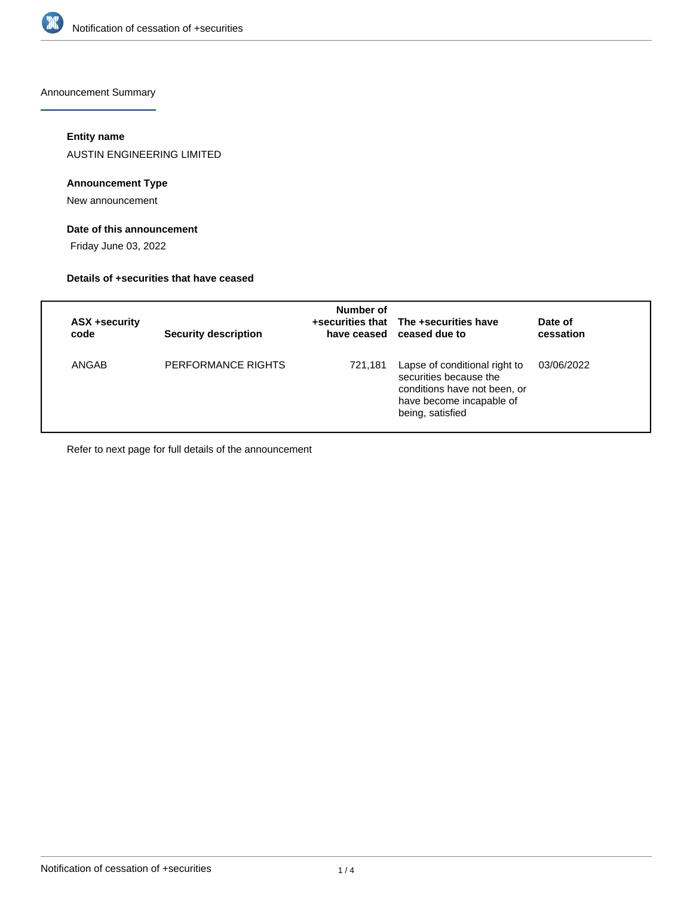

Announcement Summary

## **Entity name**

AUSTIN ENGINEERING LIMITED

## **Announcement Type**

New announcement

## **Date of this announcement**

Friday June 03, 2022

#### **Details of +securities that have ceased**

| ASX +security<br>code | <b>Security description</b> | Number of | +securities that The +securities have<br>have ceased ceased due to                                                                      | Date of<br>cessation |
|-----------------------|-----------------------------|-----------|-----------------------------------------------------------------------------------------------------------------------------------------|----------------------|
| ANGAB                 | PERFORMANCE RIGHTS          | 721,181   | Lapse of conditional right to<br>securities because the<br>conditions have not been, or<br>have become incapable of<br>being, satisfied | 03/06/2022           |

Refer to next page for full details of the announcement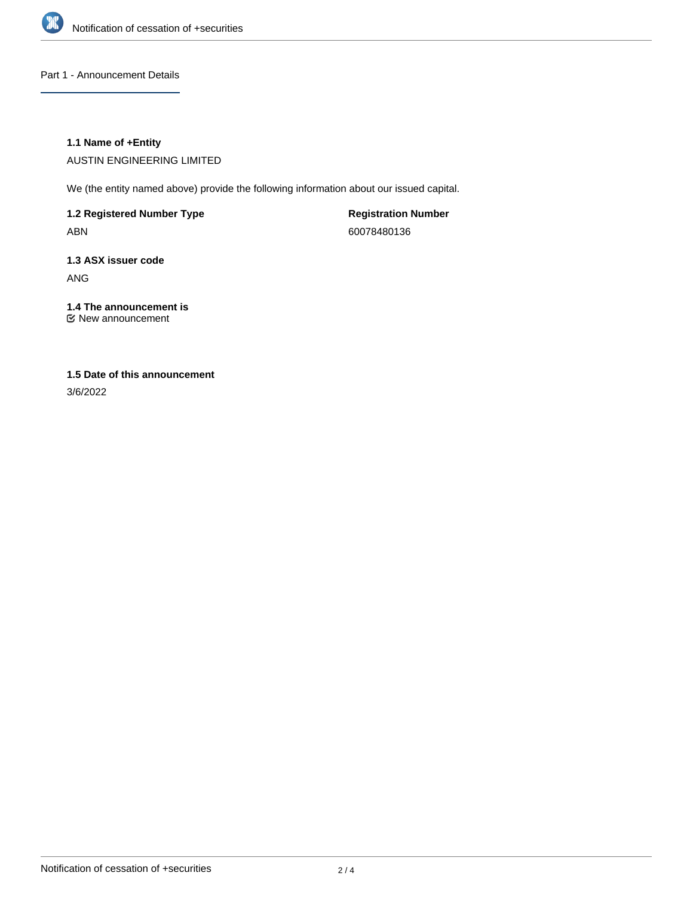

Part 1 - Announcement Details

## **1.1 Name of +Entity**

AUSTIN ENGINEERING LIMITED

We (the entity named above) provide the following information about our issued capital.

**1.2 Registered Number Type** ABN

**Registration Number** 60078480136

**1.3 ASX issuer code** ANG

**1.4 The announcement is** New announcement

# **1.5 Date of this announcement**

3/6/2022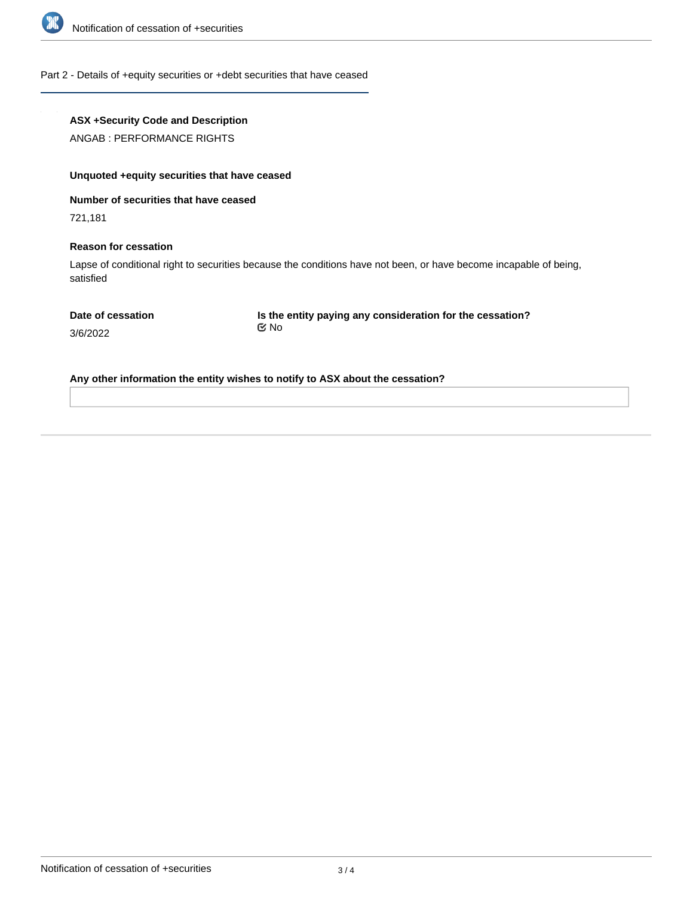

#### Part 2 - Details of +equity securities or +debt securities that have ceased

## **ASX +Security Code and Description**

ANGAB : PERFORMANCE RIGHTS

## **Unquoted +equity securities that have ceased**

**Number of securities that have ceased**

721,181

3/6/2022

#### **Reason for cessation**

Lapse of conditional right to securities because the conditions have not been, or have become incapable of being, satisfied

**Is the entity paying any consideration for the cessation?** No

**Any other information the entity wishes to notify to ASX about the cessation?**